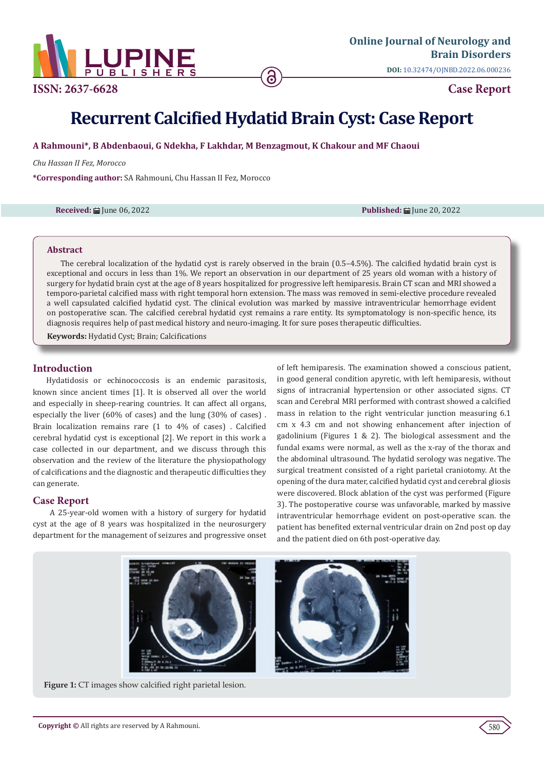

**ISSN: 2637-6628 Case Report** 

# **Recurrent Calcified Hydatid Brain Cyst: Case Report**

**A Rahmouni\*, B Abdenbaoui, G Ndekha, F Lakhdar, M Benzagmout, K Chakour and MF Chaoui**

*Chu Hassan II Fez, Morocco*

**\*Corresponding author:** SA Rahmouni, Chu Hassan II Fez, Morocco

**Received: iii** June 06, 2022 **Published:** *iii***i June 20, 2022 Published:** *iii***i June 20, 2022** 

#### **Abstract**

The cerebral localization of the hydatid cyst is rarely observed in the brain (0.5–4.5%). The calcified hydatid brain cyst is exceptional and occurs in less than 1%. We report an observation in our department of 25 years old woman with a history of surgery for hydatid brain cyst at the age of 8 years hospitalized for progressive left hemiparesis. Brain CT scan and MRI showed a temporo-parietal calcified mass with right temporal horn extension. The mass was removed in semi-elective procedure revealed a well capsulated calcified hydatid cyst. The clinical evolution was marked by massive intraventricular hemorrhage evident on postoperative scan. The calcified cerebral hydatid cyst remains a rare entity. Its symptomatology is non-specific hence, its diagnosis requires help of past medical history and neuro-imaging. It for sure poses therapeutic difficulties.

**Keywords:** Hydatid Cyst; Brain; Calcifications

## **Introduction**

Hydatidosis or echinococcosis is an endemic parasitosis, known since ancient times [1]. It is observed all over the world and especially in sheep-rearing countries. It can affect all organs, especially the liver (60% of cases) and the lung (30% of cases) . Brain localization remains rare (1 to 4% of cases) . Calcified cerebral hydatid cyst is exceptional [2]. We report in this work a case collected in our department, and we discuss through this observation and the review of the literature the physiopathology of calcifications and the diagnostic and therapeutic difficulties they can generate.

## **Case Report**

 A 25-year-old women with a history of surgery for hydatid cyst at the age of 8 years was hospitalized in the neurosurgery department for the management of seizures and progressive onset of left hemiparesis. The examination showed a conscious patient, in good general condition apyretic, with left hemiparesis, without signs of intracranial hypertension or other associated signs. CT scan and Cerebral MRI performed with contrast showed a calcified mass in relation to the right ventricular junction measuring 6.1 cm x 4.3 cm and not showing enhancement after injection of gadolinium (Figures 1 & 2). The biological assessment and the fundal exams were normal, as well as the x-ray of the thorax and the abdominal ultrasound. The hydatid serology was negative. The surgical treatment consisted of a right parietal craniotomy. At the opening of the dura mater, calcified hydatid cyst and cerebral gliosis were discovered. Block ablation of the cyst was performed (Figure 3). The postoperative course was unfavorable, marked by massive intraventricular hemorrhage evident on post-operative scan. the patient has benefited external ventricular drain on 2nd post op day and the patient died on 6th post-operative day.



Figure 1: CT images show calcified right parietal lesion.